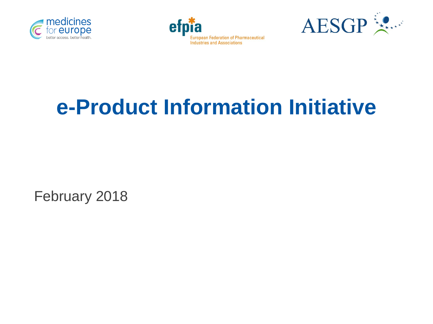





# **e-Product Information Initiative**

February 2018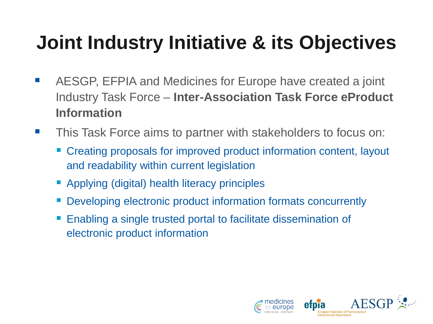# **Joint Industry Initiative & its Objectives**

- **EXALUAGE:** AESGP, EFPIA and Medicines for Europe have created a joint Industry Task Force – **Inter-Association Task Force eProduct Information**
- **This Task Force aims to partner with stakeholders to focus on:** 
	- Creating proposals for improved product information content, layout and readability within current legislation
	- Applying (digital) health literacy principles
	- Developing electronic product information formats concurrently
	- Enabling a single trusted portal to facilitate dissemination of electronic product information

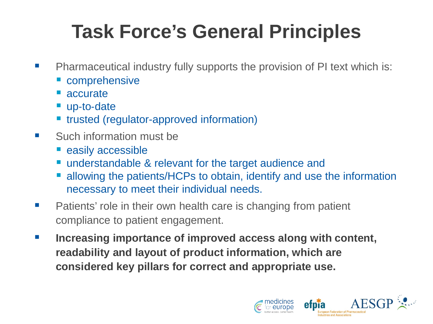# **Task Force's General Principles**

- **Pharmaceutical industry fully supports the provision of PI text which is:** 
	- comprehensive
	- accurate
	- up-to-date
	- **Te trusted (regulator-approved information)**
- Such information must be
	- **easily accessible**
	- understandable & relevant for the target audience and
	- allowing the patients/HCPs to obtain, identify and use the information necessary to meet their individual needs.
- **Patients' role in their own health care is changing from patient** compliance to patient engagement.
- **Increasing importance of improved access along with content, readability and layout of product information, which are considered key pillars for correct and appropriate use.**

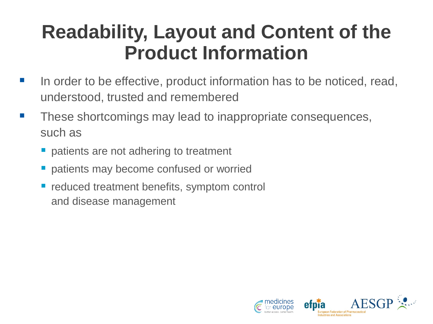## **Readability, Layout and Content of the Product Information**

- In order to be effective, product information has to be noticed, read, understood, trusted and remembered
- **These shortcomings may lead to inappropriate consequences,** such as
	- **patients are not adhering to treatment**
	- **P** patients may become confused or worried
	- **P** reduced treatment benefits, symptom control and disease management

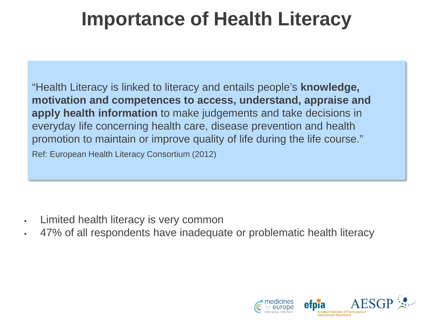## **Importance of Health Literacy**

"Health Literacy is linked to literacy and entails people's **knowledge, motivation and competences to access, understand, appraise and apply health information** to make judgements and take decisions in everyday life concerning health care, disease prevention and health promotion to maintain or improve quality of life during the life course." Ref: European Health Literacy Consortium (2012)

- Limited health literacy is very common
- 47% of all respondents have inadequate or problematic health literacy

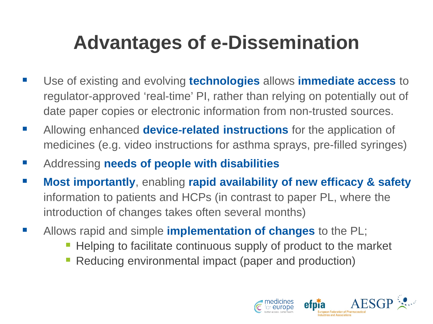# **Advantages of e-Dissemination**

- Use of existing and evolving **technologies** allows **immediate access** to regulator-approved 'real-time' PI, rather than relying on potentially out of date paper copies or electronic information from non-trusted sources.
- Allowing enhanced **device-related instructions** for the application of medicines (e.g. video instructions for asthma sprays, pre-filled syringes)
- Addressing **needs of people with disabilities**
- **Most importantly**, enabling **rapid availability of new efficacy & safety**  information to patients and HCPs (in contrast to paper PL, where the introduction of changes takes often several months)
- Allows rapid and simple **implementation of changes** to the PL;
	- **Helping to facilitate continuous supply of product to the market**
	- Reducing environmental impact (paper and production)

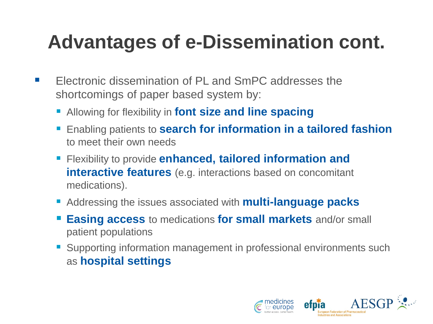# **Advantages of e-Dissemination cont.**

- **EXECTE Electronic dissemination of PL and SmPC addresses the** shortcomings of paper based system by:
	- Allowing for flexibility in **font size and line spacing**
	- **Enabling patients to search for information in a tailored fashion** to meet their own needs
	- **Flexibility to provide enhanced, tailored information and interactive features** (e.g. interactions based on concomitant medications).
	- Addressing the issues associated with **multi-language packs**
	- **Easing access** to medications **for small markets** and/or small patient populations
	- Supporting information management in professional environments such as **hospital settings**

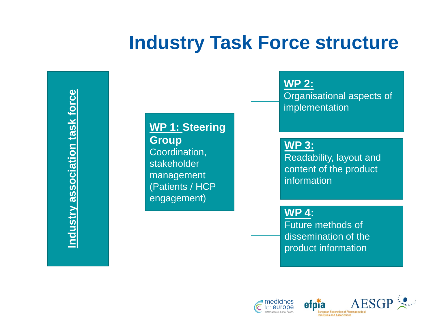### **Industry Task Force structure**

Industry association task force **Industry association task force**

#### **WP 1: Steering Group**

Coordination, stakeholder management (Patients / HCP engagement)

**WP 2:**

Organisational aspects of implementation

**WP 3:** Readability, layout and content of the product information

**WP 4:**

Future methods of dissemination of the product information



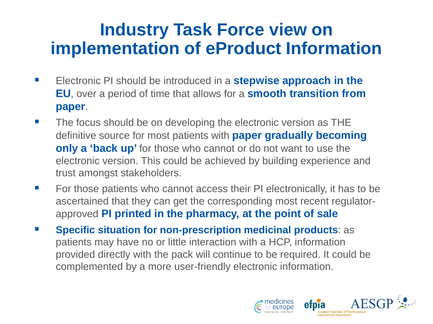#### **Industry Task Force view on implementation of eProduct Information**

- **Electronic PI should be introduced in a stepwise approach in the EU**, over a period of time that allows for a **smooth transition from paper**.
- **The focus should be on developing the electronic version as THE** definitive source for most patients with **paper gradually becoming only a 'back up'** for those who cannot or do not want to use the electronic version. This could be achieved by building experience and trust amongst stakeholders.
- For those patients who cannot access their PI electronically, it has to be ascertained that they can get the corresponding most recent regulatorapproved **PI printed in the pharmacy, at the point of sale**
- **Specific situation for non-prescription medicinal products: as** patients may have no or little interaction with a HCP, information provided directly with the pack will continue to be required. It could be complemented by a more user-friendly electronic information.

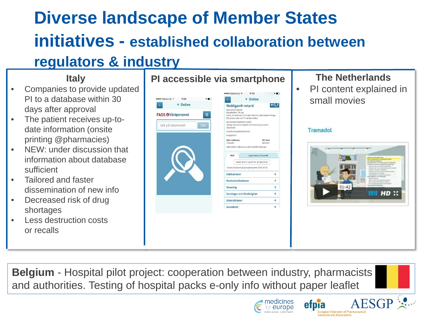### **Diverse landscape of Member States initiatives - established collaboration between regulators & industry**

#### **Italy**

- Companies to provide updated PI to a database within 30 days after approval
- The patient receives up-todate information (onsite printing @pharmacies)
- NEW: under discussion that information about database sufficient
- Tailored and faster dissemination of new info
- Decreased risk of drug shortages
- Less destruction costs or recalls





PI content explained in small movies

**Tramadol** 

etpia

**European Federation of Pharmaceutics** Industries and Associations



**AESG** 

**Belgium** - Hospital pilot project: cooperation between industry, pharmacists and authorities. Testing of hospital packs e-only info without paper leaflet

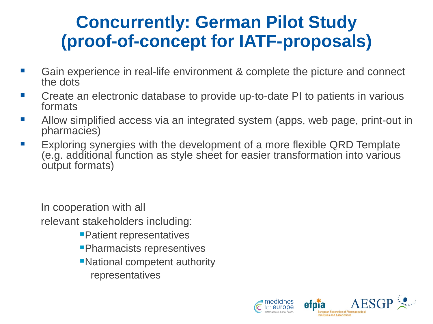#### **Concurrently: German Pilot Study (proof-of-concept for IATF-proposals)**

- Gain experience in real-life environment & complete the picture and connect the dots
- Create an electronic database to provide up-to-date PI to patients in various formats
- **Allow simplified access via an integrated system (apps, web page, print-out in** pharmacies)
- Exploring synergies with the development of a more flexible QRD Template (e.g. additional function as style sheet for easier transformation into various output formats)

In cooperation with all relevant stakeholders including:

- Patient representatives
- Pharmacists representives
- National competent authority representatives



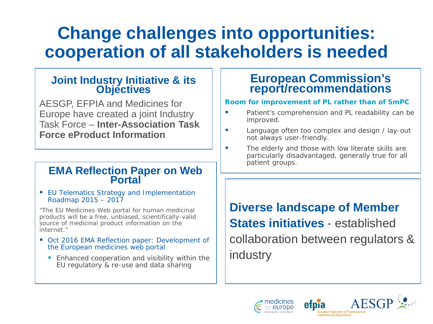#### **Change challenges into opportunities: cooperation of all stakeholders is needed**

## **Joint Industry Initiative & its Objectives**

AESGP, EFPIA and Medicines for Europe have created a joint Industry Task Force – **Inter-Association Task Force eProduct Information** 

## **EMA Reflection Paper on Web Portal**

**EU Telematics Strategy and Implementation** Roadmap 2015 – 2017

*"The EU Medicines Web portal for human medicinal products will be a free, unbiased, scientifically-valid source of medicinal product information on the internet."*

- Oct 2016 EMA Reflection paper: Development of the European medicines web portal
	- **Enhanced cooperation and visibility within the** EU regulatory & re-use and data sharing

#### **European Commission's report/recommendations**

#### **Room for improvement of PL rather than of SmPC**

- **Patient's comprehension and PL readability can be** improved.
- **Language often too complex and design / lay-out** not always user-friendly.
- **The elderly and those with low literate skills are** particularly disadvantaged, generally true for all patient groups.

**Diverse landscape of Member States initiatives** - established collaboration between regulators & industry



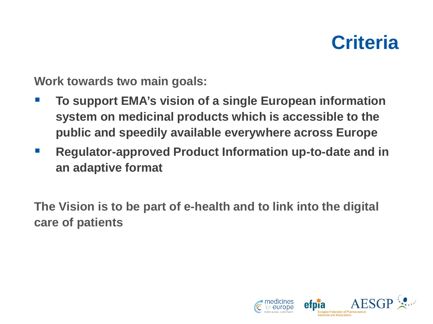

**Work towards two main goals:**

- **To support EMA's vision of a single European information system on medicinal products which is accessible to the public and speedily available everywhere across Europe**
- **Regulator-approved Product Information up-to-date and in an adaptive format**

**The Vision is to be part of e-health and to link into the digital care of patients**